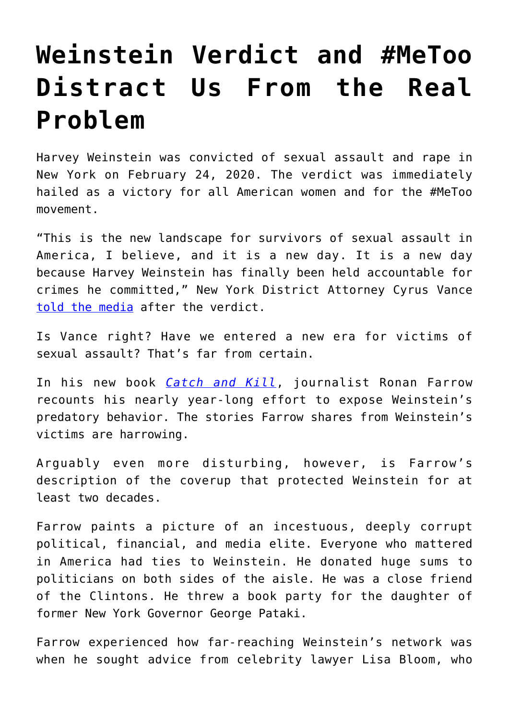## **[Weinstein Verdict and #MeToo](https://intellectualtakeout.org/2020/03/weinstein-verdict-and-metoo-distract-us-from-the-real-problem/) [Distract Us From the Real](https://intellectualtakeout.org/2020/03/weinstein-verdict-and-metoo-distract-us-from-the-real-problem/) [Problem](https://intellectualtakeout.org/2020/03/weinstein-verdict-and-metoo-distract-us-from-the-real-problem/)**

Harvey Weinstein was convicted of sexual assault and rape in New York on February 24, 2020. The verdict was immediately hailed as a victory for all American women and for the #MeToo movement.

"This is the new landscape for survivors of sexual assault in America, I believe, and it is a new day. It is a new day because Harvey Weinstein has finally been held accountable for crimes he committed," New York District Attorney Cyrus Vance [told the media](https://www.nytimes.com/2020/02/24/nyregion/harvey-weinstein-verdict.html) after the verdict.

Is Vance right? Have we entered a new era for victims of sexual assault? That's far from certain.

In his new book *[Catch and Kill](https://www.amazon.com/gp/product/0316486639/ref=as_li_qf_asin_il_tl?ie=UTF8&tag=intelltakeo0d-20&creative=9325&linkCode=as2&creativeASIN=0316486639&linkId=c0095993dec5b00f7cf4dafe2485808e)*, journalist Ronan Farrow recounts his nearly year-long effort to expose Weinstein's predatory behavior. The stories Farrow shares from Weinstein's victims are harrowing.

Arguably even more disturbing, however, is Farrow's description of the coverup that protected Weinstein for at least two decades.

Farrow paints a picture of an incestuous, deeply corrupt political, financial, and media elite. Everyone who mattered in America had ties to Weinstein. He donated huge sums to politicians on both sides of the aisle. He was a close friend of the Clintons. He threw a book party for the daughter of former New York Governor George Pataki.

Farrow experienced how far-reaching Weinstein's network was when he sought advice from celebrity lawyer Lisa Bloom, who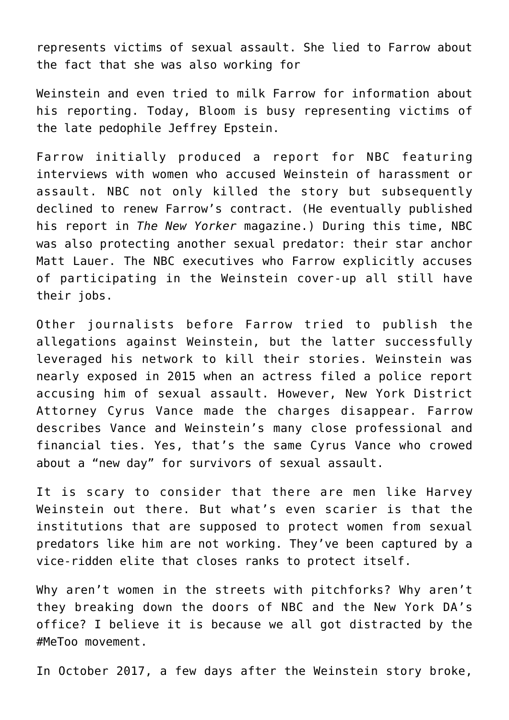represents victims of sexual assault. She lied to Farrow about the fact that she was also working for

Weinstein and even tried to milk Farrow for information about his reporting. Today, Bloom is busy representing victims of the late pedophile Jeffrey Epstein.

Farrow initially produced a report for NBC featuring interviews with women who accused Weinstein of harassment or assault. NBC not only killed the story but subsequently declined to renew Farrow's contract. (He eventually published his report in *The New Yorker* magazine.) During this time, NBC was also protecting another sexual predator: their star anchor Matt Lauer. The NBC executives who Farrow explicitly accuses of participating in the Weinstein cover-up all still have their jobs.

Other journalists before Farrow tried to publish the allegations against Weinstein, but the latter successfully leveraged his network to kill their stories. Weinstein was nearly exposed in 2015 when an actress filed a police report accusing him of sexual assault. However, New York District Attorney Cyrus Vance made the charges disappear. Farrow describes Vance and Weinstein's many close professional and financial ties. Yes, that's the same Cyrus Vance who crowed about a "new day" for survivors of sexual assault.

It is scary to consider that there are men like Harvey Weinstein out there. But what's even scarier is that the institutions that are supposed to protect women from sexual predators like him are not working. They've been captured by a vice-ridden elite that closes ranks to protect itself.

Why aren't women in the streets with pitchforks? Why aren't they breaking down the doors of NBC and the New York DA's office? I believe it is because we all got distracted by the #MeToo movement.

In October 2017, a few days after the Weinstein story broke,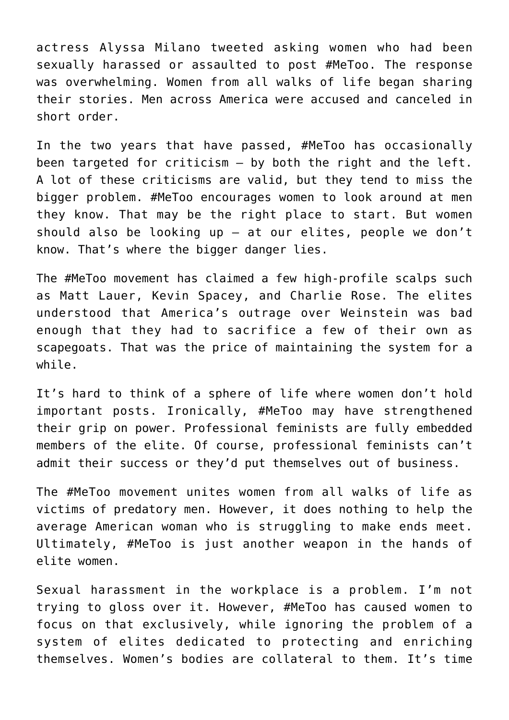actress Alyssa Milano tweeted asking women who had been sexually harassed or assaulted to post #MeToo. The response was overwhelming. Women from all walks of life began sharing their stories. Men across America were accused and canceled in short order.

In the two years that have passed, #MeToo has occasionally been targeted for criticism – by both the right and the left. A lot of these criticisms are valid, but they tend to miss the bigger problem. #MeToo encourages women to look around at men they know. That may be the right place to start. But women should also be looking up – at our elites, people we don't know. That's where the bigger danger lies.

The #MeToo movement has claimed a few high-profile scalps such as Matt Lauer, Kevin Spacey, and Charlie Rose. The elites understood that America's outrage over Weinstein was bad enough that they had to sacrifice a few of their own as scapegoats. That was the price of maintaining the system for a while.

It's hard to think of a sphere of life where women don't hold important posts. Ironically, #MeToo may have strengthened their grip on power. Professional feminists are fully embedded members of the elite. Of course, professional feminists can't admit their success or they'd put themselves out of business.

The #MeToo movement unites women from all walks of life as victims of predatory men. However, it does nothing to help the average American woman who is struggling to make ends meet. Ultimately, #MeToo is just another weapon in the hands of elite women.

Sexual harassment in the workplace is a problem. I'm not trying to gloss over it. However, #MeToo has caused women to focus on that exclusively, while ignoring the problem of a system of elites dedicated to protecting and enriching themselves. Women's bodies are collateral to them. It's time